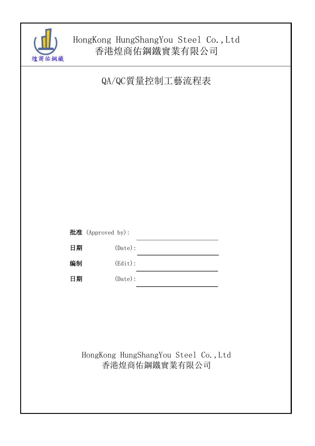

# HongKong HungShangYou Steel Co.,Ltd 香港煌商佑鋼鐵實業有限公司

QA/QC質量控制工藝流程表

|    | 批准 (Approved by): |  |
|----|-------------------|--|
| 日期 | $(\text{Date})$ : |  |
| 编制 | $(\text{Edit})$ : |  |
| 日期 | $(\text{Date})$ : |  |

# HongKong HungShangYou Steel Co.,Ltd 香港煌商佑鋼鐵實業有限公司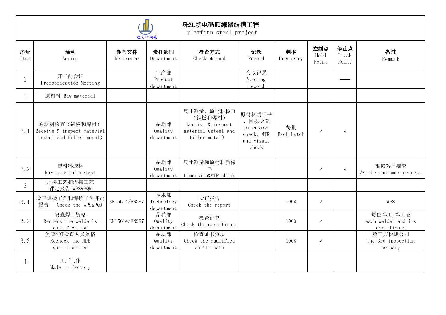

|                |                                                                        |                   | 八生同 10 刘当城                      |                                                                                     |                                                                   |                  |                      |                       |                                                |
|----------------|------------------------------------------------------------------------|-------------------|---------------------------------|-------------------------------------------------------------------------------------|-------------------------------------------------------------------|------------------|----------------------|-----------------------|------------------------------------------------|
| 序号<br>Item     | 活动<br>Action                                                           | 参考文件<br>Reference | 责任部门<br>Department              | 检查方式<br>Check Method                                                                | 记录<br>Record                                                      | 频率<br>Frequency  | 控制点<br>Hold<br>Point | 停止点<br>Break<br>Point | 备注<br>Remark                                   |
|                | 开工前会议<br>Prefabrication Meeting                                        |                   | 生产部<br>Product<br>department    |                                                                                     | 会议记录<br>Meeting<br>record                                         |                  |                      |                       |                                                |
| $\overline{2}$ | 原材料 Raw material                                                       |                   |                                 |                                                                                     |                                                                   |                  |                      |                       |                                                |
| 2.1            | 原材料检查(钢板和焊材)<br>Receive & inspect material<br>(steel and filler metal) |                   | 品质部<br>Quality<br>department    | 尺寸测量、原材料检查<br>(钢板和焊材)<br>Receive & inspect<br>material (steel and<br>filler metal). | 原材料质保书<br>、目视检查<br>Dimension<br>check, MTR<br>and visual<br>check | 每批<br>Each batch | $\sqrt{ }$           | $\sqrt{ }$            |                                                |
| 2.2            | 原材料送检<br>Raw material retest                                           |                   | 品质部<br>Quality<br>department    | 尺寸测量和原材料质保<br>书<br>Dimension&MTR check                                              |                                                                   |                  | $\sqrt{ }$           | $\sqrt{ }$            | 根据客户要求<br>As the customer request              |
| $\mathfrak{Z}$ | 焊接工艺和焊接工艺<br>评定报告 WPS&PQR                                              |                   |                                 |                                                                                     |                                                                   |                  |                      |                       |                                                |
| 3.1            | 检查焊接工艺和焊接工艺评定<br>Check the WPS&PQR<br>报告                               | EN15614/EN287     | 技术部<br>Technology<br>department | 检查报告<br>Check the report                                                            |                                                                   | 100%             | $\sqrt{ }$           |                       | WPS                                            |
| 3.2            | 复查焊工资格<br>Recheck the welder's<br>qualification                        | EN15614/EN287     | 品质部<br>Quality<br>department    | 检查证书<br>Check the certificate                                                       |                                                                   | 100%             | $\sqrt{ }$           |                       | 每位焊工,焊工证<br>each welder and its<br>certificate |
| 3.3            | 复查NDT检查人员资格<br>Recheck the NDE<br>qualification                        |                   | 品质部<br>Quality<br>department    | 检查证书资质<br>Check the qualified<br>certificate                                        |                                                                   | 100%             | $\sqrt{ }$           |                       | 第三方检测公司<br>The 3rd inspection<br>company       |
| $\overline{4}$ | 工厂制作<br>Made in factory                                                |                   |                                 |                                                                                     |                                                                   |                  |                      |                       |                                                |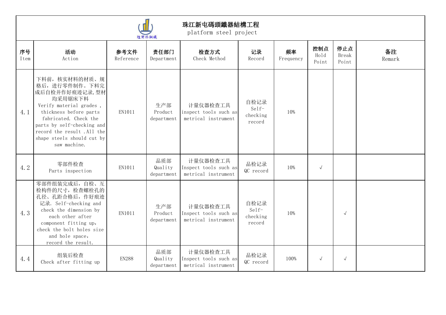

|            |                                                                                                                                                                                                                                                     |                   | 遅 問 1石 銅鐵                    |                                                          |                                     |                 |                      |                              |              |
|------------|-----------------------------------------------------------------------------------------------------------------------------------------------------------------------------------------------------------------------------------------------------|-------------------|------------------------------|----------------------------------------------------------|-------------------------------------|-----------------|----------------------|------------------------------|--------------|
| 序号<br>Item | 活动<br>Action                                                                                                                                                                                                                                        | 参考文件<br>Reference | 责任部门<br>Department           | 检查方式<br>Check Method                                     | 记录<br>Record                        | 频率<br>Frequency | 控制点<br>Hold<br>Point | 停止点<br><b>Break</b><br>Point | 备注<br>Remark |
| 4.1        | 下料前,核实材料的材质、规<br>格后,进行零件制作。下料完<br>成后自检并作好痕迹记录,型材<br>均采用锯床下料<br>Verify material grades,<br>thickness before parts<br>fabricated. Check the<br>parts by self-checking and<br>record the result .All the<br>shape steels should cut by<br>saw machine. | EN1011            | 生产部<br>Product<br>department | 计量仪器检查工具<br>inspect tools such as<br>metrical instrument | 自检记录<br>Self-<br>checking<br>record | 10%             |                      |                              |              |
| 4.2        | 零部件检查<br>Parts inspection                                                                                                                                                                                                                           | EN1011            | 品质部<br>Quality<br>department | 计量仪器检查工具<br>Inspect tools such as<br>metrical instrument | 品检记录<br>QC record                   | 10%             | $\sqrt{ }$           |                              |              |
| 4.3        | 零部件组装完成后,自检、互<br>检构件的尺寸, 检查螺栓孔的<br>孔径、孔距合格后,作好痕迹<br>记录. Self-checking and<br>check the dimension by<br>each other after<br>component fitting up,<br>check the bolt holes size<br>and hole space,<br>record the result.                              | EN1011            | 生产部<br>Product<br>department | 计量仪器检查工具<br>Inspect tools such as<br>metrical instrument | 自检记录<br>Self-<br>checking<br>record | 10%             |                      | $\sqrt{ }$                   |              |
| 4.4        | 组装后检查<br>Check after fitting up                                                                                                                                                                                                                     | <b>EN288</b>      | 品质部<br>Quality<br>department | 计量仪器检查工具<br>Inspect tools such as<br>metrical instrument | 品检记录<br>QC record                   | 100%            | $\sqrt{ }$           | $\sqrt{ }$                   |              |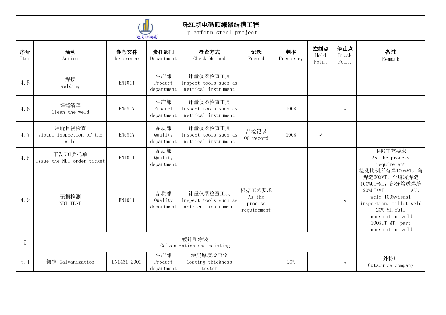

|                |                                            |                   | <b>WE GOT THE MIDSIGN</b>    |                                                          |                                            |                 |                      |                       |                                                                                                                                                                                                         |
|----------------|--------------------------------------------|-------------------|------------------------------|----------------------------------------------------------|--------------------------------------------|-----------------|----------------------|-----------------------|---------------------------------------------------------------------------------------------------------------------------------------------------------------------------------------------------------|
| 序号<br>Item     | 活动<br>Action                               | 参考文件<br>Reference | 责任部门<br>Department           | 检查方式<br>Check Method                                     | 记录<br>Record                               | 频率<br>Frequency | 控制点<br>Hold<br>Point | 停止点<br>Break<br>Point | 备注<br>Remark                                                                                                                                                                                            |
| 4.5            | 焊接<br>welding                              | EN1011            | 生产部<br>Product<br>department | 计量仪器检查工具<br>Inspect tools such as<br>metrical instrument |                                            |                 |                      |                       |                                                                                                                                                                                                         |
| 4.6            | 焊缝清理<br>Clean the weld                     | EN5817            | 生产部<br>Product<br>department | 计量仪器检查工具<br>Inspect tools such as<br>metrical instrument |                                            | 100%            |                      | $\sqrt{ }$            |                                                                                                                                                                                                         |
| 4.7            | 焊缝目视检查<br>visual inspection of the<br>weld | EN5817            | 品质部<br>Quality<br>department | 计量仪器检查工具<br>Inspect tools such as<br>metrical instrument | 品检记录<br>QC record                          | 100%            | $\sqrt{}$            |                       |                                                                                                                                                                                                         |
| 4.8            | 下发NDT委托单<br>Issue the NDT order ticket     | EN1011            | 品质部<br>Quality<br>department |                                                          |                                            |                 |                      |                       | 根据工艺要求<br>As the process<br>requirement                                                                                                                                                                 |
| 4.9            | 无损检测<br>NDT TEST                           | EN1011            | 品质部<br>Quality<br>department | 计量仪器检查工具<br>Inspect tools such as<br>metrical instrument | 根据工艺要求<br>As the<br>process<br>requirement |                 |                      | $\sqrt{ }$            | 检测比例所有焊100%VT, 角<br>焊缝20%MT,全熔透焊缝<br>100%UT+MT, 部分熔透焊缝<br>$20\%$ UT+MT.<br>ALL<br>weld 100%visual<br>inspection, fillet weld<br>20% MT, full<br>penetration weld<br>100%UT+MT, part<br>penetration weld |
| $\overline{5}$ |                                            |                   |                              | 镀锌和涂装<br>Galvanization and painting                      |                                            |                 |                      |                       |                                                                                                                                                                                                         |
| 5.1            | 镀锌 Galvanization                           | EN1461-2009       | 生产部<br>Product<br>department | 涂层厚度检查仪<br>Coating thickness<br>tester                   |                                            | 20%             |                      | $\sqrt{ }$            | 外协厂<br>Outsource company                                                                                                                                                                                |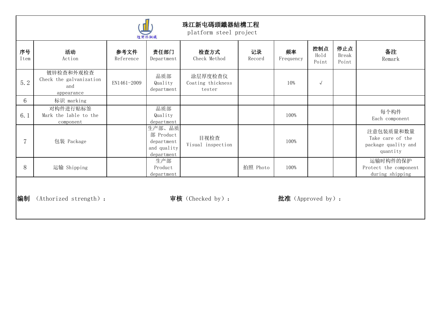| 悼商佑鋼鐵 |  |
|-------|--|

|                |                                                           |                   | 煌商佑鋼鐵                                                          |                                        |              |                   |                      |                       |                                                                  |
|----------------|-----------------------------------------------------------|-------------------|----------------------------------------------------------------|----------------------------------------|--------------|-------------------|----------------------|-----------------------|------------------------------------------------------------------|
| 序号<br>Item     | 活动<br>Action                                              | 参考文件<br>Reference | 责任部门<br>Department                                             | 检查方式<br>Check Method                   | 记录<br>Record | 频率<br>Frequency   | 控制点<br>Hold<br>Point | 停止点<br>Break<br>Point | 备注<br>Remark                                                     |
| 5.2            | 镀锌检查和外观检查<br>Check the galvanization<br>and<br>appearance | EN1461-2009       | 品质部<br>Quality<br>department                                   | 涂层厚度检查仪<br>Coating thickness<br>tester |              | 10%               | $\sqrt{ }$           |                       |                                                                  |
| 6              | 标识 marking                                                |                   |                                                                |                                        |              |                   |                      |                       |                                                                  |
| 6.1            | 对构件进行贴标签<br>Mark the lable to the<br>component            |                   | 品质部<br>Quality<br>department                                   |                                        |              | 100%              |                      |                       | 每个构件<br>Each component                                           |
| $\overline{7}$ | 包装 Package                                                |                   | 生产部、品质<br>部 Product<br>department<br>and quality<br>department | 目视检查<br>Visual inspection              |              | 100%              |                      |                       | 注意包装质量和数量<br>Take care of the<br>package quality and<br>quantity |
| 8              | 运输 Shipping                                               |                   | 生产部<br>Product<br>department                                   |                                        | 拍照 Photo     | 100%              |                      |                       | 运输时构件的保护<br>Protect the component<br>during shipping             |
| 编制             | (Athorized strength) :                                    |                   |                                                                | 审核 (Checked by):                       |              | 批准 (Approved by): |                      |                       |                                                                  |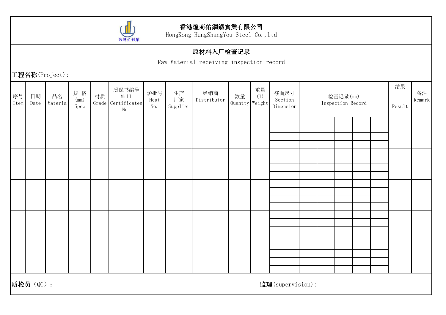

HongKong HungShangYou Steel Co.,Ltd

### 原材料入厂检查记录

Raw Material receiving inspection record

工程名称(Project):

| 序号<br>Item | 日期<br>Date | 品名<br>Materia | 规格<br>(mm)<br>Spec | 材质 | 质保书编号<br>Mill<br>Grade Certificates<br>No. | 炉批号<br>Heat<br>No. | 生产<br>厂家<br>Supplier | 经销商<br>Distributor | 数量<br>Quantty Weight | 重量<br>(T) | 截面尺寸<br>Section<br>Dimension |  | 检查记录(mm)<br>Inspection Record |  | 结果<br>Result | 备注<br>Remark |
|------------|------------|---------------|--------------------|----|--------------------------------------------|--------------------|----------------------|--------------------|----------------------|-----------|------------------------------|--|-------------------------------|--|--------------|--------------|
|            |            |               |                    |    |                                            |                    |                      |                    |                      |           |                              |  |                               |  |              |              |
|            |            |               |                    |    |                                            |                    |                      |                    |                      |           |                              |  |                               |  |              |              |
|            |            |               |                    |    |                                            |                    |                      |                    |                      |           |                              |  |                               |  |              |              |
|            |            |               |                    |    |                                            |                    |                      |                    |                      |           |                              |  |                               |  |              |              |
|            |            |               |                    |    |                                            |                    |                      |                    |                      |           |                              |  |                               |  |              |              |
|            |            |               |                    |    |                                            |                    |                      |                    |                      |           |                              |  |                               |  |              |              |
|            |            |               |                    |    |                                            |                    |                      |                    |                      |           |                              |  |                               |  |              |              |
|            |            |               |                    |    |                                            |                    |                      |                    |                      |           |                              |  |                               |  |              |              |
|            |            |               |                    |    |                                            |                    |                      |                    |                      |           |                              |  |                               |  |              |              |
|            |            |               |                    |    |                                            |                    |                      |                    |                      |           |                              |  |                               |  |              |              |
|            |            |               |                    |    |                                            |                    |                      |                    |                      |           |                              |  |                               |  |              |              |
|            |            |               |                    |    |                                            |                    |                      |                    |                      |           |                              |  |                               |  |              |              |
|            |            |               |                    |    |                                            |                    |                      |                    |                      |           |                              |  |                               |  |              |              |
|            |            |               |                    |    |                                            |                    |                      |                    |                      |           |                              |  |                               |  |              |              |
|            |            |               |                    |    |                                            |                    |                      |                    |                      |           |                              |  |                               |  |              |              |
|            |            |               |                    |    |                                            |                    |                      |                    |                      |           |                              |  |                               |  |              |              |
|            |            |               |                    |    |                                            |                    |                      |                    |                      |           |                              |  |                               |  |              |              |
|            | 质检员 (QC):  |               |                    |    |                                            |                    |                      |                    |                      |           | 监理(supervision):             |  |                               |  |              |              |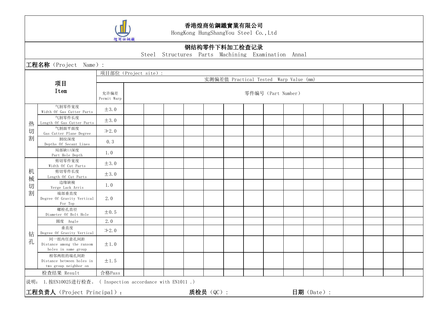

|        |                                                                 | 煌商佑鋼鐵               |                      |                                                    |           |                                        |                    |            |  |  |  |
|--------|-----------------------------------------------------------------|---------------------|----------------------|----------------------------------------------------|-----------|----------------------------------------|--------------------|------------|--|--|--|
|        |                                                                 |                     |                      |                                                    |           | 钢结构零件下料加工检查记录                          |                    |            |  |  |  |
|        |                                                                 |                     |                      | Steel Structures Parts Machining Examination Annal |           |                                        |                    |            |  |  |  |
|        | 工程名称 (Project Name):                                            |                     |                      |                                                    |           |                                        |                    |            |  |  |  |
|        |                                                                 |                     | 项目部位 (Project site): |                                                    |           | 实测偏差值 Practical Tested Warp Value (mm) |                    |            |  |  |  |
|        | 项目                                                              |                     |                      |                                                    |           |                                        |                    |            |  |  |  |
|        | Item                                                            | 允许偏差<br>Permit Warp |                      |                                                    |           |                                        | 零件编号 (Part Number) |            |  |  |  |
|        | 气割零件宽度<br>Width Of Gas Cutter Parts                             | $\pm 3.0$           |                      |                                                    |           |                                        |                    |            |  |  |  |
| 热      | 气割零件长度<br>Length Of Gas Cutter Parts                            | $\pm 3.0$           |                      |                                                    |           |                                        |                    |            |  |  |  |
| 切      | 气割面平面度<br>Gas Cutter Plane Degree                               | $\geq 2.0$          |                      |                                                    |           |                                        |                    |            |  |  |  |
| 割      | 割纹深度<br>Depths Of Secant Lines                                  | 0.3                 |                      |                                                    |           |                                        |                    |            |  |  |  |
|        | 局部缺口深度<br>Part Hole Depth                                       | 1.0                 |                      |                                                    |           |                                        |                    |            |  |  |  |
|        | 剪切零件宽度<br>Width Of Cut Parts                                    | $\pm 3.0$           |                      |                                                    |           |                                        |                    |            |  |  |  |
| 机<br>械 | 剪切零件长度<br>Length Of Cut Parts                                   | $\pm 3.0$           |                      |                                                    |           |                                        |                    |            |  |  |  |
| 切      | 边缘缺棱<br>Verge Lack Arris                                        | 1.0                 |                      |                                                    |           |                                        |                    |            |  |  |  |
| 割      | 端部垂直度<br>Degree Of Gravity Vertical<br>For Top                  | 2.0                 |                      |                                                    |           |                                        |                    |            |  |  |  |
|        | 螺栓孔直径<br>Diameter Of Bolt Hole                                  | $\pm 0.5$           |                      |                                                    |           |                                        |                    |            |  |  |  |
|        | 圆度 Angle                                                        | 2.0                 |                      |                                                    |           |                                        |                    |            |  |  |  |
| 钻      | 垂直度<br>Degree Of Gravity Vertical                               | $\geq 2.0$          |                      |                                                    |           |                                        |                    |            |  |  |  |
| 孔      | 同一组内任意孔间距<br>Distance among the ransom<br>holes in same group   | $\pm 1.0$           |                      |                                                    |           |                                        |                    |            |  |  |  |
|        | 相邻两组的端孔间距<br>Distance between holes in<br>two group neighbor on | $\pm 1.5$           |                      |                                                    |           |                                        |                    |            |  |  |  |
|        | 检查结果 Result                                                     | 合格Pass              |                      |                                                    |           |                                        |                    |            |  |  |  |
|        | 说明: 1. 按EN10025进行检查。( Inspection accordance with EN1011.)       |                     |                      |                                                    |           |                                        |                    |            |  |  |  |
|        | 工程负责人 (Project Principal):                                      |                     |                      |                                                    | 质检员 (QC): |                                        |                    | 日期 (Date): |  |  |  |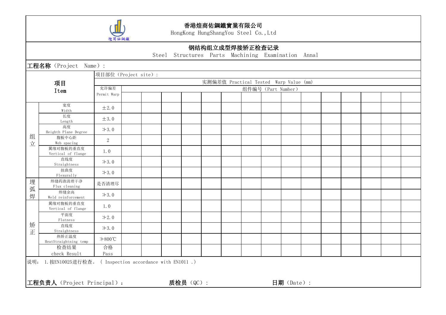

HongKong HungShangYou Steel Co.,Ltd

### 钢结构组立成型焊接矫正检查记录

Steel Structures Parts Machining Examination Annal

工程名称(Project Name): 项目 Item 项目部位(Project site): 实测偏差值 Practical Tested Warp Value (mm) 允许偏差 Permit Warp 组件编号(Part Number) 组 腹板中心距  $\frac{1}{\sqrt{2}}$  Web spacing 2 宽度<br>  $\pm 2.0$  $\frac{w}{x}$   $\pm 2.0$ 长度 しょっこうしょう しょうしょう  $\frac{1}{\log \tan \theta}$   $\pm 3.0$ 高度<br>
→3.0 Heighth Plane Degree 翼缘对腹板的垂直度<br>  $\frac{1}{2}$   $\frac{1}{2}$   $\frac{1}{2}$   $\frac{1}{2}$   $\frac{1}{2}$   $\frac{1}{2}$   $\frac{1}{2}$   $\frac{1}{2}$   $\frac{1}{2}$   $\frac{1}{2}$   $\frac{1}{2}$   $\frac{1}{2}$   $\frac{1}{2}$   $\frac{1}{2}$   $\frac{1}{2}$   $\frac{1}{2}$   $\frac{1}{2}$   $\frac{1}{2}$   $\frac{1}{2}$   $\frac{1}{2}$   $\frac{1}{2}$ Vertical of flange 直线度<br>  $\Rightarrow 3.0$ Straightness 扭曲度<br>  $\Rightarrow 3.0$ Flexurally **「埋 │ 焊缝药渣清理干净 │ <sub>是否 清理 尽 │ │ │ │ │** │</sub>  $\frac{1}{2}$  Thus creaming the contract of the contract of the contract of the contract of the contract of the contract of the contract of the contract of the contract of the contract of the contract of the contract of the c  $\frac{1}{\sqrt{7}}$  weld reinforcement  $\left| \frac{1}{7}, \frac{1}{2}, \frac{1}{2} \right|$  and  $\left| \frac{1}{7}, \frac{1}{2} \right|$  and  $\left| \frac{1}{7}, \frac{1}{2} \right|$ <sup>焊缝药渣清理干净</sup> 是否清理尽<br>Flux cleaning 是否清理尽 焊缝余高<br>
<br/>  $\downarrow 3.0$ 矫  $\overline{E}$  Straightness  $\overline{X}$ 3.0 翼缘对腹板的垂直度 1.0 Vertical of flange 平面度<br>  $\Rightarrow$  2.0 Flatness 直线度<br>  $\Rightarrow 3.0$ 热矫正温度 HeatStraightning temp ≯800℃ 检查结果 合格 check Result 合格 コンピューター しょうしょう しょうしょう Pass 说明: 1.按EN10025进行检查。 ( Inspection accordance with EN1011 .) 工程负责人(Project Principal): 质检员(QC): 日期(Date):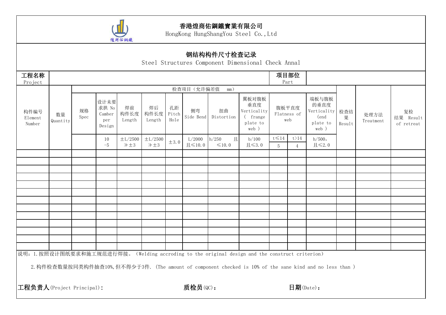

|                           |                |            |                                          |                              |                         |                     |                                    | 钢结构构件尺寸检查记录               | Steel Structures Component Dimensional Check Annal                                                       |                                     |                             |                                                               |             |                   |                               |
|---------------------------|----------------|------------|------------------------------------------|------------------------------|-------------------------|---------------------|------------------------------------|---------------------------|----------------------------------------------------------------------------------------------------------|-------------------------------------|-----------------------------|---------------------------------------------------------------|-------------|-------------------|-------------------------------|
| 工程名称<br>Project           |                |            |                                          |                              |                         |                     |                                    |                           |                                                                                                          |                                     | 项目部位<br>Part                |                                                               |             |                   |                               |
|                           |                |            |                                          |                              |                         |                     | 检查项目(允许偏差值                         | mm)                       |                                                                                                          |                                     |                             |                                                               |             |                   |                               |
| 构件编号<br>Element<br>Number | 数量<br>Quantity | 规格<br>Spec | 设计未要<br>求拱 No<br>Camber<br>per<br>Design | 焊前<br>构件长度<br>Length         | 焊后<br>构件长度<br>Length    | 孔距<br>Pitch<br>Hole | 侧弯<br>Side Bend                    | 扭曲<br>Distortion          | 翼板对腹板<br>垂直度<br>Verticality<br>(frange)<br>plate to<br>web )                                             |                                     | 腹板平直度<br>Flatness of<br>web | 端板与腹板<br>的垂直度<br>Verticality 检查结<br>(end<br>plate to<br>web ) | 果<br>Result | 处理方法<br>Treatment | 复检<br>结果 Result<br>of retreat |
|                           |                |            | 10<br>$-5$                               | $\pm$ L/2500<br>$\geq \pm 3$ | $\pm$ L/2500<br>$\pm 3$ | $\pm 3.0$           | L/2000<br>$\mathbb{H}$ $\leq$ 10.0 | h/250<br>且<br>$\leq 10.0$ | b/100<br>$\mathbb{H}$ $\leq$ 3.0                                                                         | $t \leqslant 14$<br>$5\phantom{.0}$ | t>14<br>$\overline{4}$      | h/500,<br>$\mathbb{H}$ $\leqslant$ 2.0                        |             |                   |                               |
|                           |                |            |                                          |                              |                         |                     |                                    |                           |                                                                                                          |                                     |                             |                                                               |             |                   |                               |
|                           |                |            |                                          |                              |                         |                     |                                    |                           |                                                                                                          |                                     |                             |                                                               |             |                   |                               |
|                           |                |            |                                          |                              |                         |                     |                                    |                           |                                                                                                          |                                     |                             |                                                               |             |                   |                               |
|                           |                |            |                                          |                              |                         |                     |                                    |                           |                                                                                                          |                                     |                             |                                                               |             |                   |                               |
|                           |                |            |                                          |                              |                         |                     |                                    |                           |                                                                                                          |                                     |                             |                                                               |             |                   |                               |
|                           |                |            |                                          |                              |                         |                     |                                    |                           |                                                                                                          |                                     |                             |                                                               |             |                   |                               |
|                           |                |            |                                          |                              |                         |                     |                                    |                           |                                                                                                          |                                     |                             |                                                               |             |                   |                               |
|                           |                |            |                                          |                              |                         |                     |                                    |                           |                                                                                                          |                                     |                             |                                                               |             |                   |                               |
|                           |                |            |                                          |                              |                         |                     |                                    |                           |                                                                                                          |                                     |                             |                                                               |             |                   |                               |
|                           |                |            |                                          |                              |                         |                     |                                    |                           |                                                                                                          |                                     |                             |                                                               |             |                   |                               |
|                           |                |            |                                          |                              |                         |                     |                                    |                           | 说明: 1. 按照设计图纸要求和施工规范进行焊接。(Welding accroding to the original design and the construct criterion)          |                                     |                             |                                                               |             |                   |                               |
|                           |                |            |                                          |                              |                         |                     |                                    |                           | 2. 构件检查数量按同类构件抽查10%, 但不得少于3件. (The amount of component checked is 10% of the sane kind and no less than) |                                     |                             |                                                               |             |                   |                               |
| 工程负责人(Project Principal): |                |            |                                          |                              |                         |                     | 质检员(QC):                           |                           |                                                                                                          |                                     | 日期(Date):                   |                                                               |             |                   |                               |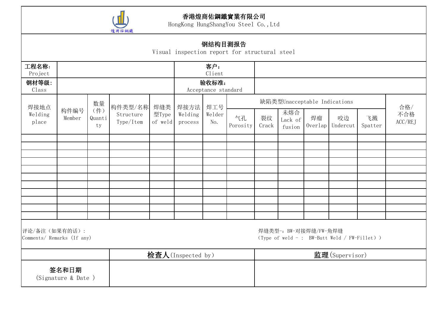

|                                             |                                       |    |             |                  |                    | 钢结构目测报告                | Visual inspection report for structural steel |                |                              |               |                                             |  |     |  |
|---------------------------------------------|---------------------------------------|----|-------------|------------------|--------------------|------------------------|-----------------------------------------------|----------------|------------------------------|---------------|---------------------------------------------|--|-----|--|
| 工程名称:<br>Project<br>钢材等级:                   |                                       |    |             |                  |                    | 客户:<br>Client<br>验收标准: |                                               |                |                              |               |                                             |  |     |  |
| Class                                       |                                       |    |             |                  |                    | Acceptance standard    |                                               |                |                              |               |                                             |  |     |  |
| 焊接地点                                        |                                       | 数量 | 构件类型/名称 焊缝类 |                  | 焊接方法 焊工号           |                        |                                               |                | 缺陷类型Unacceptable Indications |               |                                             |  | 合格/ |  |
| Welding<br>place                            | (件)<br>构件编号<br>Member<br>Quanti<br>ty |    |             | 型Type<br>of weld | Welding<br>process | Welder<br>No.          | 气孔<br>Porosity                                | 裂纹<br>Crack    | 未熔合<br>Lack of<br>fusion     | 飞溅<br>Spatter | 不合格<br>ACC/REJ                              |  |     |  |
|                                             |                                       |    |             |                  |                    |                        |                                               |                |                              |               |                                             |  |     |  |
|                                             |                                       |    |             |                  |                    |                        |                                               |                |                              |               |                                             |  |     |  |
|                                             |                                       |    |             |                  |                    |                        |                                               |                |                              |               |                                             |  |     |  |
|                                             |                                       |    |             |                  |                    |                        |                                               |                |                              |               |                                             |  |     |  |
|                                             |                                       |    |             |                  |                    |                        |                                               |                |                              |               |                                             |  |     |  |
|                                             |                                       |    |             |                  |                    |                        |                                               |                |                              |               |                                             |  |     |  |
|                                             |                                       |    |             |                  |                    |                        |                                               |                |                              |               |                                             |  |     |  |
|                                             |                                       |    |             |                  |                    |                        |                                               |                |                              |               |                                             |  |     |  |
| 评论/备注(如果有的话):<br>Comments/ Remarks (If any) |                                       |    |             |                  |                    |                        |                                               |                | 焊缝类型-: BW-对接焊缝/FW-角焊缝        |               | (Type of weld -: BW-Butt Weld / FW-Fillet)) |  |     |  |
|                                             |                                       |    |             |                  | 检查人(Inspected by)  |                        |                                               | 监理(Supervisor) |                              |               |                                             |  |     |  |
|                                             | 签名和日期<br>(Signature & Date)           |    |             |                  |                    |                        |                                               |                |                              |               |                                             |  |     |  |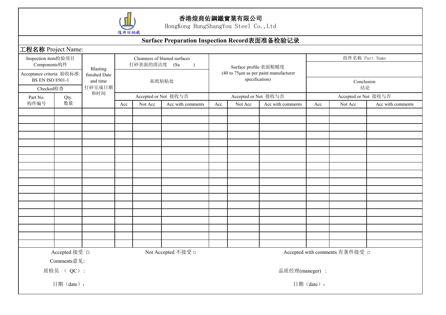

|                                                      |                              |                                       | 煌商佑鋼鐵 |              |                                               |     |                       |                                               |           |                                |                   |
|------------------------------------------------------|------------------------------|---------------------------------------|-------|--------------|-----------------------------------------------|-----|-----------------------|-----------------------------------------------|-----------|--------------------------------|-------------------|
|                                                      |                              |                                       |       |              | Surface Preparation Inspection Record表面准备检验记录 |     |                       |                                               |           |                                |                   |
| 工程名称 Project Name:                                   |                              |                                       |       |              |                                               |     |                       |                                               |           |                                |                   |
| Inspection item检验项目<br>Components构件                  |                              |                                       |       | 打砂表面的清洁度 (Sa | Cleanness of blasted surfaces                 |     | Surface profile 表面粗糙度 |                                               |           | 组件名称 Part Name                 |                   |
| Acceptance criteria 验收标准:<br><b>BS EN ISO 8501-1</b> |                              | Blasting<br>finished Date<br>and time |       |              | 拓纸粘贴处                                         |     | specification)        | $(40$ to $75 \mu m$ as per paint manufacturer |           | Conclusion                     |                   |
| Checked检查                                            |                              | 打砂完成日期                                |       |              |                                               |     |                       |                                               |           | 结论                             |                   |
| Part No.                                             | Qty.                         | 和时间                                   |       |              | Accepted or Not 接收与否                          |     | Accepted or Not 接收与否  |                                               |           | Accepted or Not 接收与否           |                   |
| 构件编号                                                 | 数量                           |                                       | Acc   | Not Acc      | Acc with comments                             | Acc | Not Acc               | Acc with comments                             | Acc       | Not Acc                        | Acc with comments |
|                                                      |                              |                                       |       |              |                                               |     |                       |                                               |           |                                |                   |
|                                                      |                              |                                       |       |              |                                               |     |                       |                                               |           |                                |                   |
|                                                      |                              |                                       |       |              |                                               |     |                       |                                               |           |                                |                   |
|                                                      |                              |                                       |       |              |                                               |     |                       |                                               |           |                                |                   |
|                                                      |                              |                                       |       |              |                                               |     |                       |                                               |           |                                |                   |
|                                                      |                              |                                       |       |              |                                               |     |                       |                                               |           |                                |                   |
|                                                      |                              |                                       |       |              |                                               |     |                       |                                               |           |                                |                   |
|                                                      |                              |                                       |       |              |                                               |     |                       |                                               |           |                                |                   |
|                                                      |                              |                                       |       |              |                                               |     |                       |                                               |           |                                |                   |
|                                                      |                              |                                       |       |              |                                               |     |                       |                                               |           |                                |                   |
|                                                      |                              |                                       |       |              |                                               |     |                       |                                               |           |                                |                   |
|                                                      |                              |                                       |       |              |                                               |     |                       |                                               |           |                                |                   |
|                                                      |                              |                                       |       |              |                                               |     |                       |                                               |           |                                |                   |
|                                                      |                              |                                       |       |              |                                               |     |                       |                                               |           |                                |                   |
|                                                      |                              |                                       |       |              |                                               |     |                       |                                               |           |                                |                   |
|                                                      |                              |                                       |       |              |                                               |     |                       |                                               |           |                                |                   |
|                                                      |                              |                                       |       |              |                                               |     |                       |                                               |           |                                |                   |
|                                                      |                              |                                       |       |              |                                               |     |                       |                                               |           |                                |                   |
|                                                      | Accepted 接受 □<br>Comments意见: |                                       |       |              | Not Accepted 不接受 □                            |     |                       |                                               |           | Accepted with comments 有条件接受 □ |                   |
|                                                      | 质检员 ( QC) :                  |                                       |       |              |                                               |     |                       | 品质经理(maneger):                                |           |                                |                   |
|                                                      | 日期(date):                    |                                       |       |              |                                               |     |                       |                                               | 日期(date): |                                |                   |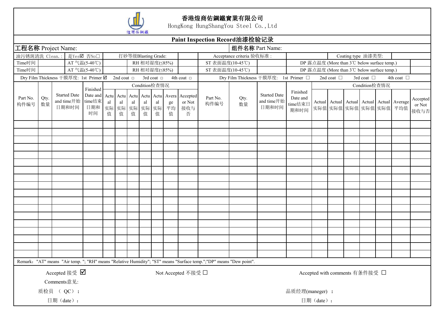

|                           |                                                        |             |                                     |                                                  |         |                                                       |         |         |                          |                        |                                | Paint Inspection Record油漆检验记录                                                                                       |                           |                                            |                                         |                    |                                             |                 |                                                                       |                            |
|---------------------------|--------------------------------------------------------|-------------|-------------------------------------|--------------------------------------------------|---------|-------------------------------------------------------|---------|---------|--------------------------|------------------------|--------------------------------|---------------------------------------------------------------------------------------------------------------------|---------------------------|--------------------------------------------|-----------------------------------------|--------------------|---------------------------------------------|-----------------|-----------------------------------------------------------------------|----------------------------|
| 工程名称 Project Name:        |                                                        |             |                                     |                                                  |         |                                                       |         |         |                          |                        |                                |                                                                                                                     | 组件名称 Part Name:           |                                            |                                         |                    |                                             |                 |                                                                       |                            |
| 油污锈斑清洗 Clean.:            |                                                        |             |                                     | 是YesØ 否No□                                       |         |                                                       |         |         | 打砂等级Blasting Grade:      |                        |                                |                                                                                                                     | Acceptance criteria 验收标准: |                                            |                                         |                    | Coating type 油漆类型:                          |                 |                                                                       |                            |
| Time时间                    |                                                        |             |                                     | AT 气温(5-40℃)                                     |         |                                                       |         |         | RH 相对湿度(≤85%)            |                        |                                | ST 表面温度(10-45℃)                                                                                                     |                           |                                            |                                         |                    | DP 露点温度 (More than 3°C below surface temp.) |                 |                                                                       |                            |
| Time时间                    |                                                        |             |                                     | AT 气温(5-40℃)                                     |         |                                                       |         |         | RH 相对湿度(≤85%)            |                        |                                | ST 表面温度(10-45℃)                                                                                                     |                           |                                            |                                         |                    | DP 露点温度 (More than 3℃ below surface temp.)  |                 |                                                                       |                            |
|                           |                                                        |             |                                     | Dry Film Thickness 干膜厚度: 1st Primer ☑ 2nd coat □ |         |                                                       |         |         | 3rd coat $\Box$          |                        | 4th coat $\Box$                |                                                                                                                     |                           | Dry Film Thickness 干膜厚度: 1st Primer □      |                                         | 2nd coat $\square$ |                                             | 3rd coat $\Box$ | 4th coat □                                                            |                            |
|                           |                                                        |             |                                     | Finished                                         |         |                                                       |         |         | Condition检查情况            |                        |                                |                                                                                                                     |                           |                                            |                                         |                    |                                             | Condition检查情况   |                                                                       |                            |
| Part $\mbox{No.}$<br>构件编号 | Qty.<br>数量                                             |             | <b>Started Date</b><br>日期和时间        | Date and<br>and time开始 time结束<br>日期和<br>时间       | al<br>值 | Actu Actu Actu Actu Actu<br>al<br>实际 实际 实际 实际 实际<br>值 | al<br>值 | al<br>值 | $\operatorname{al}$<br>值 | Avera<br>ge<br>平均<br>值 | Accepted<br>or Not<br>接收与<br>否 | Part No.<br>构件编号                                                                                                    | Qty.<br>数量                | <b>Started Date</b><br>and time开始<br>日期和时间 | Finished<br>Date and<br>time结束日<br>期和时间 |                    |                                             |                 | Actual Actual Actual Actual Actual Average<br>实际值 实际值 实际值 实际值 实际值 平均值 | Accepted<br>or Not<br>接收与否 |
|                           |                                                        |             |                                     |                                                  |         |                                                       |         |         |                          |                        |                                |                                                                                                                     |                           |                                            |                                         |                    |                                             |                 |                                                                       |                            |
|                           |                                                        |             |                                     |                                                  |         |                                                       |         |         |                          |                        |                                |                                                                                                                     |                           |                                            |                                         |                    |                                             |                 |                                                                       |                            |
|                           |                                                        |             |                                     |                                                  |         |                                                       |         |         |                          |                        |                                |                                                                                                                     |                           |                                            |                                         |                    |                                             |                 |                                                                       |                            |
|                           |                                                        |             |                                     |                                                  |         |                                                       |         |         |                          |                        |                                |                                                                                                                     |                           |                                            |                                         |                    |                                             |                 |                                                                       |                            |
|                           |                                                        |             |                                     |                                                  |         |                                                       |         |         |                          |                        |                                |                                                                                                                     |                           |                                            |                                         |                    |                                             |                 |                                                                       |                            |
|                           |                                                        |             |                                     |                                                  |         |                                                       |         |         |                          |                        |                                |                                                                                                                     |                           |                                            |                                         |                    |                                             |                 |                                                                       |                            |
|                           |                                                        |             |                                     |                                                  |         |                                                       |         |         |                          |                        |                                |                                                                                                                     |                           |                                            |                                         |                    |                                             |                 |                                                                       |                            |
|                           |                                                        |             |                                     |                                                  |         |                                                       |         |         |                          |                        |                                |                                                                                                                     |                           |                                            |                                         |                    |                                             |                 |                                                                       |                            |
|                           |                                                        |             |                                     |                                                  |         |                                                       |         |         |                          |                        |                                |                                                                                                                     |                           |                                            |                                         |                    |                                             |                 |                                                                       |                            |
|                           |                                                        |             |                                     |                                                  |         |                                                       |         |         |                          |                        |                                |                                                                                                                     |                           |                                            |                                         |                    |                                             |                 |                                                                       |                            |
|                           |                                                        |             |                                     |                                                  |         |                                                       |         |         |                          |                        |                                |                                                                                                                     |                           |                                            |                                         |                    |                                             |                 |                                                                       |                            |
|                           |                                                        |             |                                     |                                                  |         |                                                       |         |         |                          |                        |                                |                                                                                                                     |                           |                                            |                                         |                    |                                             |                 |                                                                       |                            |
|                           |                                                        |             |                                     |                                                  |         |                                                       |         |         |                          |                        |                                |                                                                                                                     |                           |                                            |                                         |                    |                                             |                 |                                                                       |                            |
|                           |                                                        |             |                                     |                                                  |         |                                                       |         |         |                          |                        |                                |                                                                                                                     |                           |                                            |                                         |                    |                                             |                 |                                                                       |                            |
|                           |                                                        |             |                                     |                                                  |         |                                                       |         |         |                          |                        |                                |                                                                                                                     |                           |                                            |                                         |                    |                                             |                 |                                                                       |                            |
|                           |                                                        |             |                                     |                                                  |         |                                                       |         |         |                          |                        |                                |                                                                                                                     |                           |                                            |                                         |                    |                                             |                 |                                                                       |                            |
|                           |                                                        |             |                                     |                                                  |         |                                                       |         |         |                          |                        |                                |                                                                                                                     |                           |                                            |                                         |                    |                                             |                 |                                                                       |                            |
|                           |                                                        |             |                                     |                                                  |         |                                                       |         |         |                          |                        |                                |                                                                                                                     |                           |                                            |                                         |                    |                                             |                 |                                                                       |                            |
|                           |                                                        |             |                                     |                                                  |         |                                                       |         |         |                          |                        |                                | Remark: "AT" means "Air temp. "; "RH" means "Relative Humidity"; "ST" means "Surface temp.";"DP" means "Dew point". |                           |                                            |                                         |                    |                                             |                 |                                                                       |                            |
|                           |                                                        |             | Accepted 接受 $\overline{\mathbf{V}}$ |                                                  |         |                                                       |         |         |                          |                        | Not Accepted 不接受 □             |                                                                                                                     |                           |                                            |                                         |                    | Accepted with comments 有条件接受 □              |                 |                                                                       |                            |
|                           |                                                        | Comments意见: |                                     |                                                  |         |                                                       |         |         |                          |                        |                                |                                                                                                                     |                           |                                            |                                         |                    |                                             |                 |                                                                       |                            |
|                           |                                                        |             |                                     |                                                  |         |                                                       |         |         |                          |                        |                                |                                                                                                                     |                           |                                            |                                         |                    |                                             |                 |                                                                       |                            |
|                           | 质检员 ( QC):<br>品质经理(maneger):<br>日期(date):<br>日期(date): |             |                                     |                                                  |         |                                                       |         |         |                          |                        |                                |                                                                                                                     |                           |                                            |                                         |                    |                                             |                 |                                                                       |                            |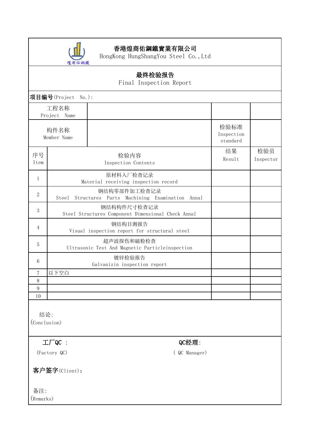

HongKong HungShangYou Steel Co.,Ltd

### 最终检验报告 Final Inspection Report 项目编号(Project No.): 工程名称 Project Name 构件名称 Member Name 检验标准 Inspection standard 序号 | 2000 | 2000 | 2000 | 2000 | 2000 | 2000 | 2000 | 2000 | 2000 | 2000 | 2000 | 2000 | 2000 | 2000 | 2000 | <br>Professional second in the second in the second in the second in the second in the second in the second in the Item Inspection Contents 结果 检验员 Result Inspector <sup>1</sup> 原材料入厂检查记录 Material receiving inspection record 2 钢结构零部件加工检查记录 Steel Structures Parts Machining Examination Annal <sup>3</sup> 钢结构构件尺寸检查记录 Steel Structures Component Dimensional Check Annal <sup>4</sup> 钢结构目测报告 Visual inspection report for structural steel <sup>5</sup> 超声波探伤和磁粉检查 Ultrasonic Test And Magnetic Particleinspection <sup>6</sup> 镀锌检验报告 Galvanizin inspection report 7 以下空白 8 9 10 结论:

(Conclusion)

### $\mathcal{I} \Box \Box$   $Q$ C经理:

(Factory QC) ( QC Manager)

客户签字(Client):

备注: (Remarks)